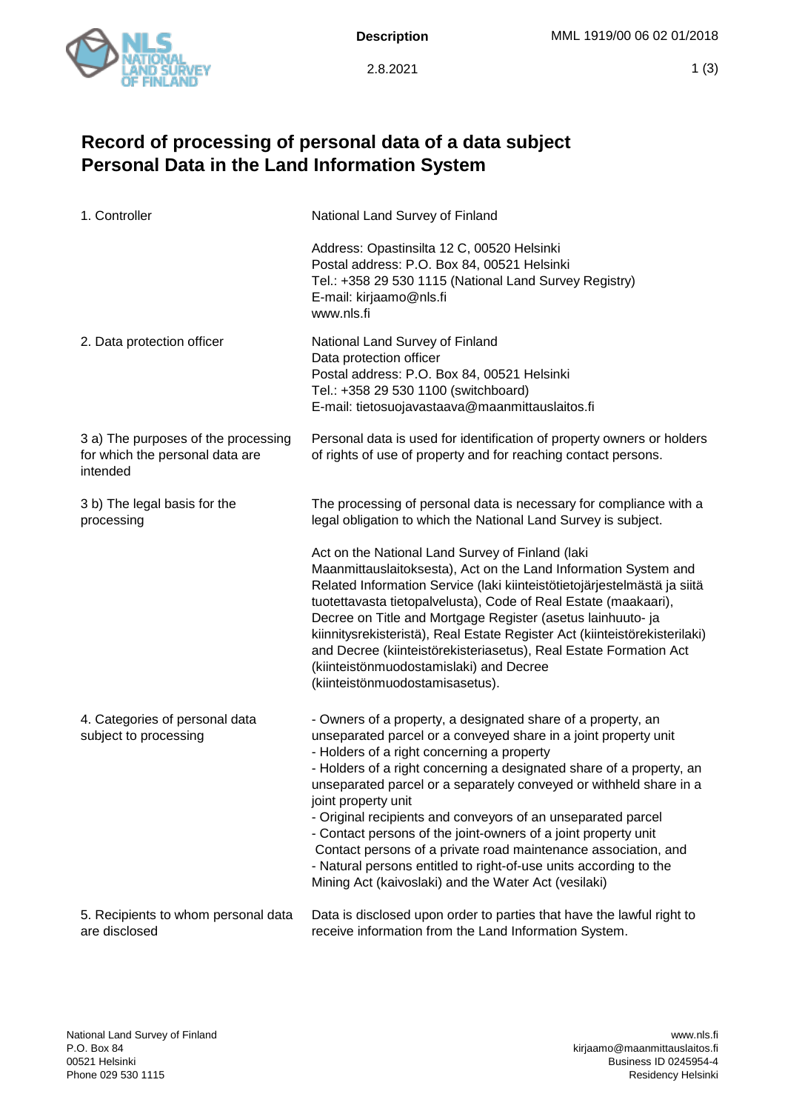

2.8.2021

## **Record of processing of personal data of a data subject Personal Data in the Land Information System**

| 1. Controller                                                                      | National Land Survey of Finland                                                                                                                                                                                                                                                                                                                                                                                                                                                                                                                                                                                                                                                     |
|------------------------------------------------------------------------------------|-------------------------------------------------------------------------------------------------------------------------------------------------------------------------------------------------------------------------------------------------------------------------------------------------------------------------------------------------------------------------------------------------------------------------------------------------------------------------------------------------------------------------------------------------------------------------------------------------------------------------------------------------------------------------------------|
|                                                                                    | Address: Opastinsilta 12 C, 00520 Helsinki<br>Postal address: P.O. Box 84, 00521 Helsinki<br>Tel.: +358 29 530 1115 (National Land Survey Registry)<br>E-mail: kirjaamo@nls.fi<br>www.nls.fi                                                                                                                                                                                                                                                                                                                                                                                                                                                                                        |
| 2. Data protection officer                                                         | National Land Survey of Finland<br>Data protection officer<br>Postal address: P.O. Box 84, 00521 Helsinki<br>Tel.: +358 29 530 1100 (switchboard)<br>E-mail: tietosuojavastaava@maanmittauslaitos.fi                                                                                                                                                                                                                                                                                                                                                                                                                                                                                |
| 3 a) The purposes of the processing<br>for which the personal data are<br>intended | Personal data is used for identification of property owners or holders<br>of rights of use of property and for reaching contact persons.                                                                                                                                                                                                                                                                                                                                                                                                                                                                                                                                            |
| 3 b) The legal basis for the<br>processing                                         | The processing of personal data is necessary for compliance with a<br>legal obligation to which the National Land Survey is subject.                                                                                                                                                                                                                                                                                                                                                                                                                                                                                                                                                |
|                                                                                    | Act on the National Land Survey of Finland (laki<br>Maanmittauslaitoksesta), Act on the Land Information System and<br>Related Information Service (laki kiinteistötietojärjestelmästä ja siitä<br>tuotettavasta tietopalvelusta), Code of Real Estate (maakaari),<br>Decree on Title and Mortgage Register (asetus lainhuuto- ja<br>kiinnitysrekisteristä), Real Estate Register Act (kiinteistörekisterilaki)<br>and Decree (kiinteistörekisteriasetus), Real Estate Formation Act<br>(kiinteistönmuodostamislaki) and Decree<br>(kiinteistönmuodostamisasetus).                                                                                                                  |
| 4. Categories of personal data<br>subject to processing                            | - Owners of a property, a designated share of a property, an<br>unseparated parcel or a conveyed share in a joint property unit<br>- Holders of a right concerning a property<br>- Holders of a right concerning a designated share of a property, an<br>unseparated parcel or a separately conveyed or withheld share in a<br>joint property unit<br>- Original recipients and conveyors of an unseparated parcel<br>- Contact persons of the joint-owners of a joint property unit<br>Contact persons of a private road maintenance association, and<br>- Natural persons entitled to right-of-use units according to the<br>Mining Act (kaivoslaki) and the Water Act (vesilaki) |
| 5. Recipients to whom personal data<br>are disclosed                               | Data is disclosed upon order to parties that have the lawful right to<br>receive information from the Land Information System.                                                                                                                                                                                                                                                                                                                                                                                                                                                                                                                                                      |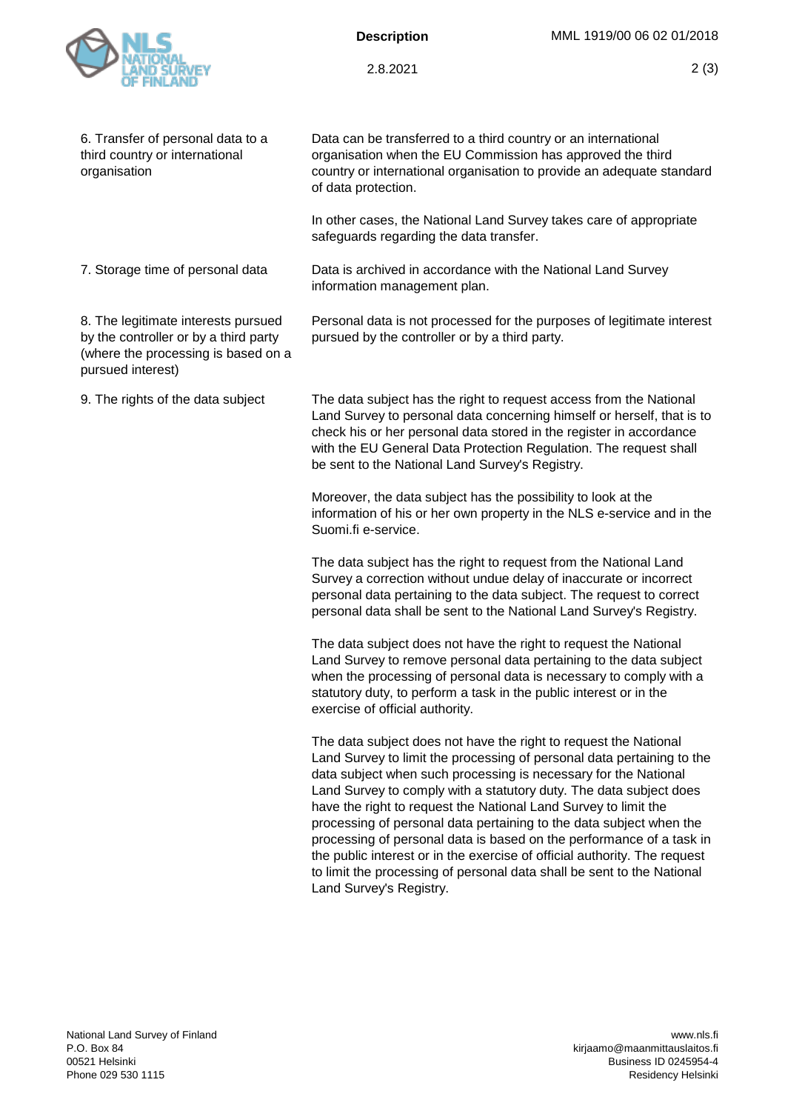

## **Description**

2.8.2021

| 6. Transfer of personal data to a<br>third country or international<br>organisation                                                      | Data can be transferred to a third country or an international<br>organisation when the EU Commission has approved the third<br>country or international organisation to provide an adequate standard<br>of data protection.                                                                                                                                                                                                                                                                                                                                                                                                                                                            |
|------------------------------------------------------------------------------------------------------------------------------------------|-----------------------------------------------------------------------------------------------------------------------------------------------------------------------------------------------------------------------------------------------------------------------------------------------------------------------------------------------------------------------------------------------------------------------------------------------------------------------------------------------------------------------------------------------------------------------------------------------------------------------------------------------------------------------------------------|
|                                                                                                                                          | In other cases, the National Land Survey takes care of appropriate<br>safeguards regarding the data transfer.                                                                                                                                                                                                                                                                                                                                                                                                                                                                                                                                                                           |
| 7. Storage time of personal data                                                                                                         | Data is archived in accordance with the National Land Survey<br>information management plan.                                                                                                                                                                                                                                                                                                                                                                                                                                                                                                                                                                                            |
| 8. The legitimate interests pursued<br>by the controller or by a third party<br>(where the processing is based on a<br>pursued interest) | Personal data is not processed for the purposes of legitimate interest<br>pursued by the controller or by a third party.                                                                                                                                                                                                                                                                                                                                                                                                                                                                                                                                                                |
| 9. The rights of the data subject                                                                                                        | The data subject has the right to request access from the National<br>Land Survey to personal data concerning himself or herself, that is to<br>check his or her personal data stored in the register in accordance<br>with the EU General Data Protection Regulation. The request shall<br>be sent to the National Land Survey's Registry.                                                                                                                                                                                                                                                                                                                                             |
|                                                                                                                                          | Moreover, the data subject has the possibility to look at the<br>information of his or her own property in the NLS e-service and in the<br>Suomi.fi e-service.                                                                                                                                                                                                                                                                                                                                                                                                                                                                                                                          |
|                                                                                                                                          | The data subject has the right to request from the National Land<br>Survey a correction without undue delay of inaccurate or incorrect<br>personal data pertaining to the data subject. The request to correct<br>personal data shall be sent to the National Land Survey's Registry.                                                                                                                                                                                                                                                                                                                                                                                                   |
|                                                                                                                                          | The data subject does not have the right to request the National<br>Land Survey to remove personal data pertaining to the data subject<br>when the processing of personal data is necessary to comply with a<br>statutory duty, to perform a task in the public interest or in the<br>exercise of official authority.                                                                                                                                                                                                                                                                                                                                                                   |
|                                                                                                                                          | The data subject does not have the right to request the National<br>Land Survey to limit the processing of personal data pertaining to the<br>data subject when such processing is necessary for the National<br>Land Survey to comply with a statutory duty. The data subject does<br>have the right to request the National Land Survey to limit the<br>processing of personal data pertaining to the data subject when the<br>processing of personal data is based on the performance of a task in<br>the public interest or in the exercise of official authority. The request<br>to limit the processing of personal data shall be sent to the National<br>Land Survey's Registry. |